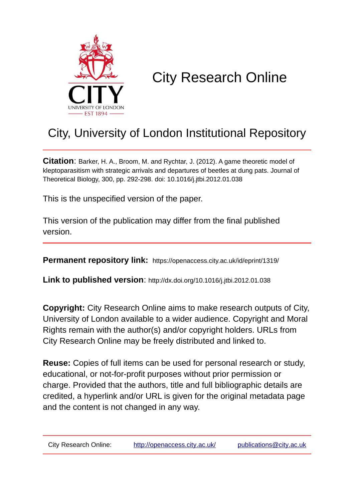

# City Research Online

## City, University of London Institutional Repository

**Citation**: Barker, H. A., Broom, M. and Rychtar, J. (2012). A game theoretic model of kleptoparasitism with strategic arrivals and departures of beetles at dung pats. Journal of Theoretical Biology, 300, pp. 292-298. doi: 10.1016/j.jtbi.2012.01.038

This is the unspecified version of the paper.

This version of the publication may differ from the final published version.

**Permanent repository link:** https://openaccess.city.ac.uk/id/eprint/1319/

**Link to published version**: http://dx.doi.org/10.1016/j.jtbi.2012.01.038

**Copyright:** City Research Online aims to make research outputs of City, University of London available to a wider audience. Copyright and Moral Rights remain with the author(s) and/or copyright holders. URLs from City Research Online may be freely distributed and linked to.

**Reuse:** Copies of full items can be used for personal research or study, educational, or not-for-profit purposes without prior permission or charge. Provided that the authors, title and full bibliographic details are credited, a hyperlink and/or URL is given for the original metadata page and the content is not changed in any way.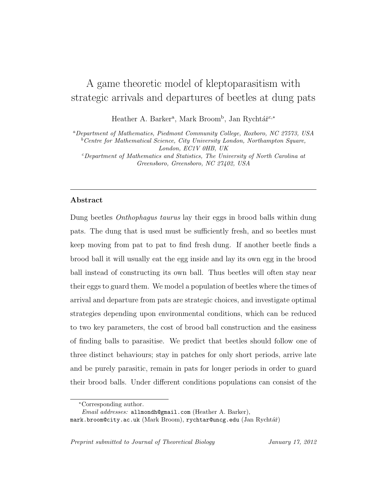### A game theoretic model of kleptoparasitism with strategic arrivals and departures of beetles at dung pats

Heather A. Barker<sup>a</sup>, Mark Broom<sup>b</sup>, Jan Rychtář<sup>c,\*</sup>

<sup>a</sup>Department of Mathematics, Piedmont Community College, Roxboro, NC 27573, USA  $^{b}$ Centre for Mathematical Science, City University London, Northampton Square, London, EC1V 0HB, UK <sup>c</sup>Department of Mathematics and Statistics, The University of North Carolina at Greensboro, Greensboro, NC 27402, USA

#### Abstract

Dung beetles Onthophagus taurus lay their eggs in brood balls within dung pats. The dung that is used must be sufficiently fresh, and so beetles must keep moving from pat to pat to find fresh dung. If another beetle finds a brood ball it will usually eat the egg inside and lay its own egg in the brood ball instead of constructing its own ball. Thus beetles will often stay near their eggs to guard them. We model a population of beetles where the times of arrival and departure from pats are strategic choices, and investigate optimal strategies depending upon environmental conditions, which can be reduced to two key parameters, the cost of brood ball construction and the easiness of finding balls to parasitise. We predict that beetles should follow one of three distinct behaviours; stay in patches for only short periods, arrive late and be purely parasitic, remain in pats for longer periods in order to guard their brood balls. Under different conditions populations can consist of the

Preprint submitted to Journal of Theoretical Biology January 17, 2012

<sup>∗</sup>Corresponding author.

Email addresses: allmondh@gmail.com (Heather A. Barker),

mark.broom@city.ac.uk (Mark Broom), rychtar@uncg.edu (Jan Rychtář)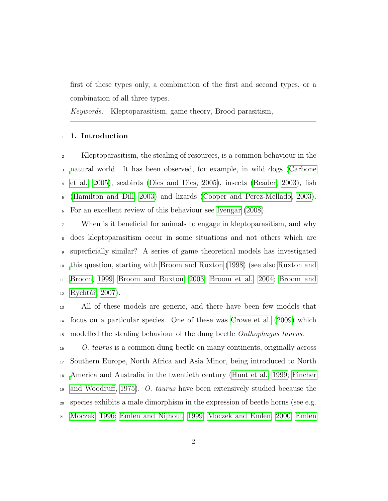first of these types only, a combination of the first and second types, or a combination of all three types.

Keywords: Kleptoparasitism, game theory, Brood parasitism,

#### 1. Introduction

 Kleptoparasitism, the stealing of resources, is a common behaviour in the [n](#page-24-0)atural world. It has been observed, for example, in wild dogs [\(Carbone](#page-24-0) [et al., 2005\)](#page-24-0), seabirds [\(Dies and Dies, 2005\)](#page-24-1), insects [\(Reader, 2003\)](#page-26-0), fish [\(Hamilton and Dill, 2003\)](#page-24-2) and lizards [\(Cooper and Perez-Mellado, 2003\)](#page-24-3). For an excellent review of this behaviour see [Iyengar](#page-25-0) [\(2008\)](#page-25-0).

When is it beneficial for animals to engage in kleptoparasitism, and why does kleptoparasitism occur in some situations and not others which are superficially similar? A series of game theoretical models has investigated [t](#page-26-1)his question, starting with [Broom and Ruxton](#page-23-0) [\(1998\)](#page-23-0) (see also [Ruxton and](#page-26-1) [Broom, 1999;](#page-26-1) [Broom and Ruxton, 2003;](#page-23-1) [Broom et al., 2004;](#page-23-2) [Broom and](#page-23-3) Rychtář, 2007).

 All of these models are generic, and there have been few models that focus on a particular species. One of these was [Crowe et al.](#page-24-4) [\(2009\)](#page-24-4) which <sup>15</sup> modelled the stealing behaviour of the dung beetle *Onthophagus taurus*.

 O. taurus is a common dung beetle on many continents, originally across Southern Europe, North Africa and Asia Minor, being introduced to North [A](#page-24-5)merica and Australia in the twentieth century [\(Hunt et al., 1999;](#page-25-1) [Fincher](#page-24-5) [and Woodruff, 1975\)](#page-24-5). O. taurus have been extensively studied because the species exhibits a male dimorphism in the expression of beetle horns (see e.g. [Moczek, 1996;](#page-25-2) [Emlen and Nijhout, 1999;](#page-24-6) [Moczek and Emlen, 2000;](#page-26-2) [Emlen](#page-24-7)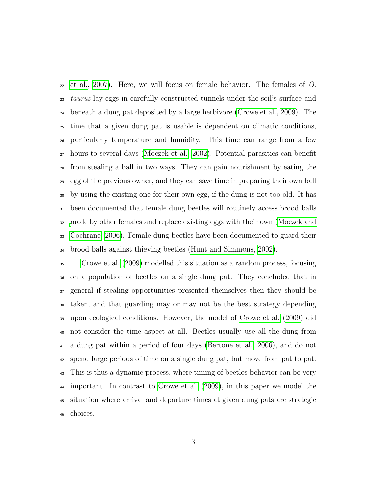$_{22}$  [et al., 2007\)](#page-24-7). Here, we will focus on female behavior. The females of O. taurus lay eggs in carefully constructed tunnels under the soil's surface and beneath a dung pat deposited by a large herbivore [\(Crowe et al., 2009\)](#page-24-4). The time that a given dung pat is usable is dependent on climatic conditions, particularly temperature and humidity. This time can range from a few hours to several days [\(Moczek et al., 2002\)](#page-26-3). Potential parasities can benefit from stealing a ball in two ways. They can gain nourishment by eating the egg of the previous owner, and they can save time in preparing their own ball by using the existing one for their own egg, if the dung is not too old. It has been documented that female dung beetles will routinely access brood balls [m](#page-26-4)ade by other females and replace existing eggs with their own [\(Moczek and](#page-26-4) [Cochrane, 2006\)](#page-26-4). Female dung beetles have been documented to guard their brood balls against thieving beetles [\(Hunt and Simmons, 2002\)](#page-25-3).

 [Crowe et al.](#page-24-4) [\(2009\)](#page-24-4) modelled this situation as a random process, focusing on a population of beetles on a single dung pat. They concluded that in general if stealing opportunities presented themselves then they should be taken, and that guarding may or may not be the best strategy depending upon ecological conditions. However, the model of [Crowe et al.](#page-24-4) [\(2009\)](#page-24-4) did not consider the time aspect at all. Beetles usually use all the dung from a dung pat within a period of four days [\(Bertone et al., 2006\)](#page-23-4), and do not spend large periods of time on a single dung pat, but move from pat to pat. This is thus a dynamic process, where timing of beetles behavior can be very important. In contrast to [Crowe et al.](#page-24-4) [\(2009\)](#page-24-4), in this paper we model the situation where arrival and departure times at given dung pats are strategic choices.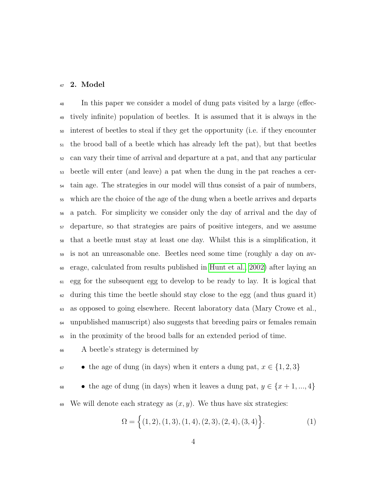#### 2. Model

 In this paper we consider a model of dung pats visited by a large (effec- tively infinite) population of beetles. It is assumed that it is always in the interest of beetles to steal if they get the opportunity (i.e. if they encounter the brood ball of a beetle which has already left the pat), but that beetles can vary their time of arrival and departure at a pat, and that any particular beetle will enter (and leave) a pat when the dung in the pat reaches a cer- tain age. The strategies in our model will thus consist of a pair of numbers, which are the choice of the age of the dung when a beetle arrives and departs a patch. For simplicity we consider only the day of arrival and the day of departure, so that strategies are pairs of positive integers, and we assume that a beetle must stay at least one day. Whilst this is a simplification, it is not an unreasonable one. Beetles need some time (roughly a day on av- erage, calculated from results published in [Hunt et al., 2002\)](#page-25-4) after laying an egg for the subsequent egg to develop to be ready to lay. It is logical that  $\epsilon_2$  during this time the beetle should stay close to the egg (and thus guard it) as opposed to going elsewhere. Recent laboratory data (Mary Crowe et al., unpublished manuscript) also suggests that breeding pairs or females remain in the proximity of the brood balls for an extended period of time.

A beetle's strategy is determined by

 $\bullet$  the age of dung (in days) when it enters a dung pat,  $x \in \{1, 2, 3\}$ 

68 • the age of dung (in days) when it leaves a dung pat,  $y \in \{x+1, ..., 4\}$ 

69 We will denote each strategy as  $(x, y)$ . We thus have six strategies:

$$
\Omega = \left\{ (1, 2), (1, 3), (1, 4), (2, 3), (2, 4), (3, 4) \right\}.
$$
 (1)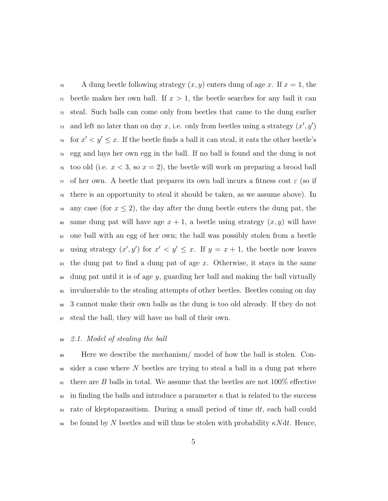<sup>70</sup> A dung beetle following strategy  $(x, y)$  enters dung of age x. If  $x = 1$ , the  $\pi$  beetle makes her own ball. If  $x > 1$ , the beetle searches for any ball it can <sup>72</sup> steal. Such balls can come only from beetles that came to the dung earlier and left no later than on day x, i.e. only from beetles using a strategy  $(x', y')$ <sup>74</sup> for  $x' < y' \leq x$ . If the beetle finds a ball it can steal, it eats the other beetle's <sup>75</sup> egg and lays her own egg in the ball. If no ball is found and the dung is not <sup>76</sup> too old (i.e.  $x < 3$ , so  $x = 2$ ), the beetle will work on preparing a brood ball  $\tau$  of her own. A beetle that prepares its own ball incurs a fitness cost  $\varepsilon$  (so if <sup>78</sup> there is an opportunity to steal it should be taken, as we assume above). In <sup>79</sup> any case (for  $x \leq 2$ ), the day after the dung beetle enters the dung pat, the <sup>80</sup> same dung pat will have age  $x + 1$ , a beetle using strategy  $(x, y)$  will have <sup>81</sup> one ball with an egg of her own; the ball was possibly stolen from a beetle s using strategy  $(x', y')$  for  $x' < y' \leq x$ . If  $y = x + 1$ , the beetle now leaves  $\frac{1}{83}$  the dung pat to find a dung pat of age x. Otherwise, it stays in the same  $\frac{1}{84}$  dung pat until it is of age y, guarding her ball and making the ball virtually <sup>85</sup> invulnerable to the stealing attempts of other beetles. Beetles coming on day <sup>86</sup> 3 cannot make their own balls as the dung is too old already. If they do not <sup>87</sup> steal the ball, they will have no ball of their own.

#### <sup>88</sup> 2.1. Model of stealing the ball

<sup>89</sup> Here we describe the mechanism/ model of how the ball is stolen. Con- $\omega$  sider a case where N beetles are trying to steal a ball in a dung pat where <sup>91</sup> there are B balls in total. We assume that the beetles are not  $100\%$  effective 92 in finding the balls and introduce a parameter  $\kappa$  that is related to the success <sup>93</sup> rate of kleptoparasitism. During a small period of time dt, each ball could 94 be found by N beetles and will thus be stolen with probability  $\kappa N dt$ . Hence,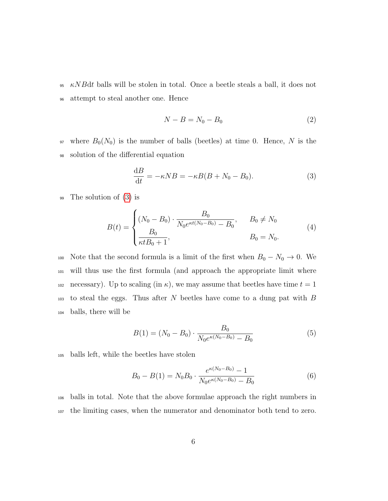$\kappa NBdt$  balls will be stolen in total. Once a beetle steals a ball, it does not <sup>96</sup> attempt to steal another one. Hence

<span id="page-6-0"></span>
$$
N - B = N_0 - B_0 \tag{2}
$$

97 where  $B_0(N_0)$  is the number of balls (beetles) at time 0. Hence, N is the <sup>98</sup> solution of the differential equation

$$
\frac{\mathrm{d}B}{\mathrm{d}t} = -\kappa NB = -\kappa B(B + N_0 - B_0). \tag{3}
$$

<sup>99</sup> The solution of [\(3\)](#page-6-0) is

$$
B(t) = \begin{cases} (N_0 - B_0) \cdot \frac{B_0}{N_0 e^{\kappa t (N_0 - B_0)} - B_0}, & B_0 \neq N_0 \\ \frac{B_0}{\kappa t B_0 + 1}, & B_0 = N_0. \end{cases}
$$
(4)

100 Note that the second formula is a limit of the first when  $B_0 - N_0 \rightarrow 0$ . We <sup>101</sup> will thus use the first formula (and approach the appropriate limit where 102 necessary). Up to scaling (in  $\kappa$ ), we may assume that beetles have time  $t = 1$  $103$  to steal the eggs. Thus after N beetles have come to a dung pat with B <sup>104</sup> balls, there will be

<span id="page-6-2"></span><span id="page-6-1"></span>
$$
B(1) = (N_0 - B_0) \cdot \frac{B_0}{N_0 e^{\kappa (N_0 - B_0)} - B_0}
$$
\n<sup>(5)</sup>

<sup>105</sup> balls left, while the beetles have stolen

$$
B_0 - B(1) = N_0 B_0 \cdot \frac{e^{\kappa(N_0 - B_0)} - 1}{N_0 e^{\kappa(N_0 - B_0)} - B_0}
$$
(6)

<sup>106</sup> balls in total. Note that the above formulae approach the right numbers in <sup>107</sup> the limiting cases, when the numerator and denominator both tend to zero.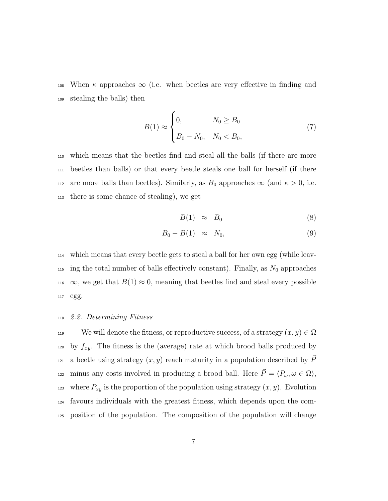108 When  $\kappa$  approaches  $\infty$  (i.e. when beetles are very effective in finding and <sup>109</sup> stealing the balls) then

$$
B(1) \approx \begin{cases} 0, & N_0 \ge B_0 \\ B_0 - N_0, & N_0 < B_0, \end{cases} \tag{7}
$$

 which means that the beetles find and steal all the balls (if there are more beetles than balls) or that every beetle steals one ball for herself (if there 112 are more balls than beetles). Similarly, as  $B_0$  approaches  $\infty$  (and  $\kappa > 0$ , i.e. there is some chance of stealing), we get

$$
B(1) \approx B_0 \tag{8}
$$

$$
B_0 - B(1) \approx N_0, \tag{9}
$$

<sup>114</sup> which means that every beetle gets to steal a ball for her own egg (while leav-<sup>115</sup> ing the total number of balls effectively constant). Finally, as  $N_0$  approaches 116  $\infty$ , we get that  $B(1) \approx 0$ , meaning that beetles find and steal every possible <sup>117</sup> egg.

#### <sup>118</sup> 2.2. Determining Fitness

119 We will denote the fitness, or reproductive success, of a strategy  $(x, y) \in \Omega$ <sup>120</sup> by  $f_{xy}$ . The fitness is the (average) rate at which brood balls produced by <sup>121</sup> a beetle using strategy  $(x, y)$  reach maturity in a population described by  $\vec{P}$ minus any costs involved in producing a brood ball. Here  $\vec{P} = \langle P_{\omega}, \omega \in \Omega \rangle$ , <sup>123</sup> where  $P_{xy}$  is the proportion of the population using strategy  $(x, y)$ . Evolution <sup>124</sup> favours individuals with the greatest fitness, which depends upon the com-<sup>125</sup> position of the population. The composition of the population will change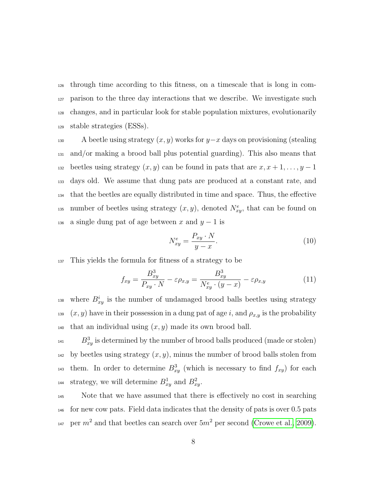through time according to this fitness, on a timescale that is long in com- parison to the three day interactions that we describe. We investigate such changes, and in particular look for stable population mixtures, evolutionarily stable strategies (ESSs).

130 A beetle using strategy  $(x, y)$  works for y−x days on provisioning (stealing <sup>131</sup> and/or making a brood ball plus potential guarding). This also means that 132 beetles using strategy  $(x, y)$  can be found in pats that are  $x, x + 1, \ldots, y - 1$ <sup>133</sup> days old. We assume that dung pats are produced at a constant rate, and <sup>134</sup> that the beetles are equally distributed in time and space. Thus, the effective <sup>135</sup> number of beetles using strategy  $(x, y)$ , denoted  $N_{xy}^e$ , that can be found on 136 a single dung pat of age between x and  $y - 1$  is

<span id="page-8-0"></span>
$$
N_{xy}^e = \frac{P_{xy} \cdot N}{y - x}.
$$
\n(10)

<sup>137</sup> This yields the formula for fitness of a strategy to be

$$
f_{xy} = \frac{B_{xy}^3}{P_{xy} \cdot N} - \varepsilon \rho_{x,y} = \frac{B_{xy}^3}{N_{xy}^e \cdot (y - x)} - \varepsilon \rho_{x,y}
$$
(11)

<sup>138</sup> where  $B_{xy}^i$  is the number of undamaged brood balls beetles using strategy <sup>139</sup> (x, y) have in their possession in a dung pat of age i, and  $\rho_{x,y}$  is the probability 140 that an individual using  $(x, y)$  made its own brood ball.

 $B_{xy}^3$  is determined by the number of brood balls produced (made or stolen)  $_{142}$  by beetles using strategy  $(x, y)$ , minus the number of brood balls stolen from <sup>143</sup> them. In order to determine  $B_{xy}^3$  (which is necessary to find  $f_{xy}$ ) for each <sup>144</sup> strategy, we will determine  $B_{xy}^1$  and  $B_{xy}^2$ .

<sup>145</sup> Note that we have assumed that there is effectively no cost in searching <sup>146</sup> for new cow pats. Field data indicates that the density of pats is over 0.5 pats <sup>147</sup> per  $m^2$  and that beetles can search over  $5m^2$  per second [\(Crowe et al., 2009\)](#page-24-4).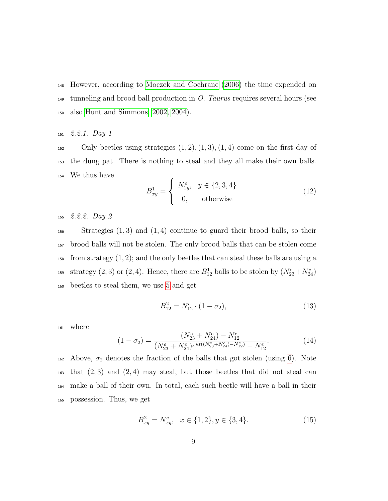<sup>148</sup> However, according to [Moczek and Cochrane](#page-26-4) [\(2006\)](#page-26-4) the time expended on  $149$  tunneling and brood ball production in O. Taurus requires several hours (see <sup>150</sup> also [Hunt and Simmons, 2002,](#page-25-3) [2004\)](#page-25-5).

#### <sup>151</sup> 2.2.1. Day 1

 $152$  Only beetles using strategies  $(1, 2), (1, 3), (1, 4)$  come on the first day of <sup>153</sup> the dung pat. There is nothing to steal and they all make their own balls. <sup>154</sup> We thus have

$$
B_{xy}^1 = \begin{cases} N_{1y}^e, & y \in \{2, 3, 4\} \\ 0, & \text{otherwise} \end{cases}
$$
 (12)

<sup>155</sup> 2.2.2. Day 2

 $156$  Strategies  $(1,3)$  and  $(1,4)$  continue to guard their brood balls, so their <sup>157</sup> brood balls will not be stolen. The only brood balls that can be stolen come  $_{158}$  from strategy  $(1, 2)$ ; and the only beetles that can steal these balls are using a <sup>159</sup> strategy (2, 3) or (2, 4). Hence, there are  $B_{12}^1$  balls to be stolen by  $(N_{23}^e + N_{24}^e)$ <sup>160</sup> beetles to steal them, we use [5](#page-6-1) and get

$$
B_{12}^2 = N_{12}^e \cdot (1 - \sigma_2), \tag{13}
$$

<sup>161</sup> where

$$
(1 - \sigma_2) = \frac{(N_{23}^e + N_{24}^e) - N_{12}^e}{(N_{23}^e + N_{24}^e)e^{\kappa t((N_{23}^e + N_{24}^e) - N_{12}^e)} - N_{12}^e}.
$$
\n(14)

162 Above,  $\sigma_2$  denotes the fraction of the balls that got stolen (using [6\)](#page-6-2). Note  $\mu$ <sub>163</sub> that  $(2,3)$  and  $(2,4)$  may steal, but those beetles that did not steal can <sup>164</sup> make a ball of their own. In total, each such beetle will have a ball in their <sup>165</sup> possession. Thus, we get

$$
B_{xy}^2 = N_{xy}^e, \quad x \in \{1, 2\}, y \in \{3, 4\}.
$$
 (15)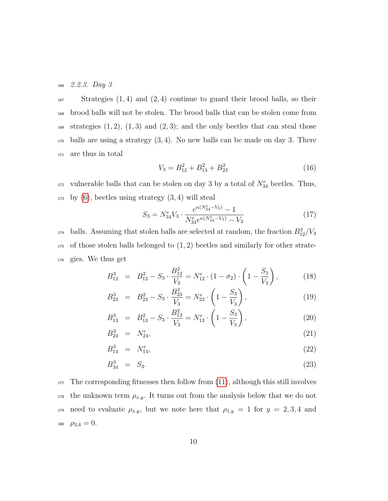$166$  2.2.3. Day 3

 Strategies  $(1, 4)$  and  $(2, 4)$  continue to guard their brood balls, so their brood balls will not be stolen. The brood balls that can be stolen come from 169 strategies  $(1, 2)$ ,  $(1, 3)$  and  $(2, 3)$ ; and the only beetles that can steal those balls are using a strategy  $(3, 4)$ . No new balls can be made on day 3. There are thus in total

$$
V_3 = B_{12}^2 + B_{13}^2 + B_{23}^2 \tag{16}
$$

<sup>172</sup> vulnerable balls that can be stolen on day 3 by a total of  $N_{34}^e$  beetles. Thus,  $_{173}$  by [\(6\)](#page-6-2), beetles using strategy  $(3, 4)$  will steal

$$
S_3 = N_{34}^e V_3 \cdot \frac{e^{\kappa (N_{34}^e - V_3)} - 1}{N_{34}^e e^{\kappa (N_{34}^e - V_3)} - V_3}
$$
(17)

<sup>174</sup> balls. Assuming that stolen balls are selected at random, the fraction  $B_{12}^2/V_3$  $175$  of those stolen balls belonged to  $(1, 2)$  beetles and similarly for other strate-<sup>176</sup> gies. We thus get

$$
B_{12}^3 = B_{12}^2 - S_3 \cdot \frac{B_{12}^2}{V_3} = N_{12}^e \cdot (1 - \sigma_2) \cdot \left(1 - \frac{S_3}{V_3}\right),\tag{18}
$$

<span id="page-10-0"></span>
$$
B_{23}^3 = B_{23}^2 - S_3 \cdot \frac{B_{23}^2}{V_3} = N_{23}^e \cdot \left(1 - \frac{S_3}{V_3}\right),\tag{19}
$$

$$
B_{13}^3 = B_{13}^2 - S_3 \cdot \frac{B_{13}^2}{V_3} = N_{13}^e \cdot \left(1 - \frac{S_3}{V_3}\right),\tag{20}
$$

$$
B_{24}^3 = N_{24}^e, \t\t(21)
$$

$$
B_{14}^3 = N_{14}^e, \t\t(22)
$$

$$
B_{34}^3 = S_3. \t\t(23)
$$

 The corresponding fitnesses then follow from [\(11\)](#page-8-0), although this still involves the unknown term  $\rho_{x,y}$ . It turns out from the analysis below that we do not 179 need to evaluate  $\rho_{x,y}$ , but we note here that  $\rho_{1,y} = 1$  for  $y = 2,3,4$  and  $\rho_{3,4} = 0$ .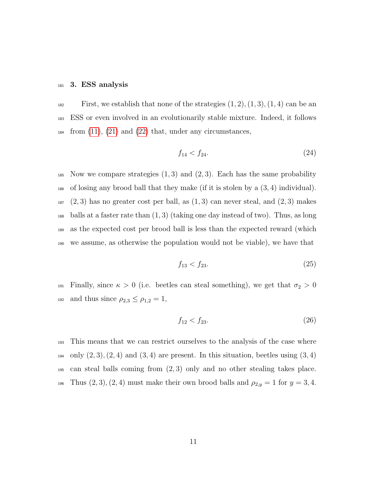#### <sup>181</sup> 3. ESS analysis

First, we establish that none of the strategies  $(1, 2), (1, 3), (1, 4)$  can be an <sup>183</sup> ESS or even involved in an evolutionarily stable mixture. Indeed, it follows  $\mu_{184}$  from [\(11\)](#page-8-0), [\(21\)](#page-10-0) and [\(22\)](#page-10-0) that, under any circumstances,

$$
f_{14} < f_{24}.\tag{24}
$$

185 Now we compare strategies  $(1, 3)$  and  $(2, 3)$ . Each has the same probability  $_{186}$  of losing any brood ball that they make (if it is stolen by a  $(3, 4)$  individual).  $187 \quad (2,3)$  has no greater cost per ball, as  $(1,3)$  can never steal, and  $(2,3)$  makes  $_{188}$  balls at a faster rate than  $(1, 3)$  (taking one day instead of two). Thus, as long <sup>189</sup> as the expected cost per brood ball is less than the expected reward (which <sup>190</sup> we assume, as otherwise the population would not be viable), we have that

$$
f_{13} < f_{23}.\tag{25}
$$

191 Finally, since  $\kappa > 0$  (i.e. beetles can steal something), we get that  $\sigma_2 > 0$ 192 and thus since  $\rho_{2,3} \leq \rho_{1,2} = 1$ ,

$$
f_{12} < f_{23}.\tag{26}
$$

<sup>193</sup> This means that we can restrict ourselves to the analysis of the case where  $_{194}$  only  $(2,3), (2,4)$  and  $(3,4)$  are present. In this situation, beetles using  $(3,4)$ <sup>195</sup> can steal balls coming from (2, 3) only and no other stealing takes place. 196 Thus  $(2, 3), (2, 4)$  must make their own brood balls and  $\rho_{2,y} = 1$  for  $y = 3, 4$ .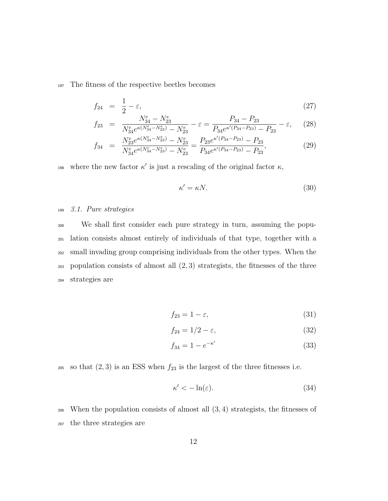<sup>197</sup> The fitness of the respective beetles becomes

$$
f_{24} = \frac{1}{2} - \varepsilon,\tag{27}
$$

<span id="page-12-0"></span>
$$
f_{23} = \frac{N_{34}^e - N_{23}^e}{N_{34}^e e^{\kappa (N_{34}^e - N_{23}^e)} - N_{23}^e} - \varepsilon = \frac{P_{34} - P_{23}}{P_{34} e^{\kappa'(P_{34} - P_{23})} - P_{23}} - \varepsilon, \quad (28)
$$

$$
f_{34} = \frac{N_{23}^e e^{\kappa (N_{34}^e - N_{23}^e)} - N_{23}^e}{N_{34}^e e^{\kappa (N_{34}^e - N_{23}^e)} - N_{23}^e} = \frac{P_{23} e^{\kappa'(P_{34} - P_{23})} - P_{23}}{P_{34} e^{\kappa'(P_{34} - P_{23})} - P_{23}},
$$
(29)

198 where the new factor  $\kappa'$  is just a rescaling of the original factor  $\kappa$ ,

$$
\kappa' = \kappa N. \tag{30}
$$

#### <sup>199</sup> 3.1. Pure strategies

 We shall first consider each pure strategy in turn, assuming the popu- lation consists almost entirely of individuals of that type, together with a small invading group comprising individuals from the other types. When the  $_{203}$  population consists of almost all  $(2,3)$  strategists, the fitnesses of the three strategies are

$$
f_{23} = 1 - \varepsilon,\tag{31}
$$

$$
f_{24} = 1/2 - \varepsilon,\tag{32}
$$

$$
f_{34} = 1 - e^{-\kappa'} \tag{33}
$$

205 so that  $(2, 3)$  is an ESS when  $f_{23}$  is the largest of the three fitnesses i.e.

$$
\kappa' < -\ln(\varepsilon). \tag{34}
$$

<sup>206</sup> When the population consists of almost all (3, 4) strategists, the fitnesses of <sup>207</sup> the three strategies are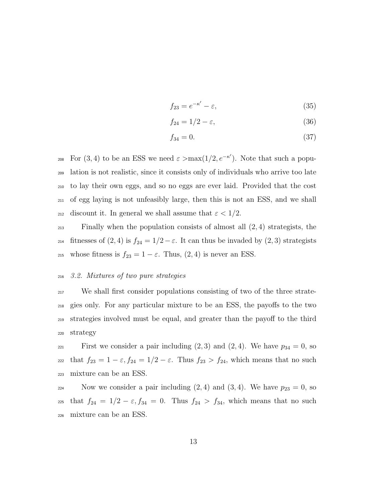$$
f_{23} = e^{-\kappa'} - \varepsilon,\tag{35}
$$

$$
f_{24} = 1/2 - \varepsilon,\tag{36}
$$

$$
f_{34} = 0.\t\t(37)
$$

<sup>208</sup> For (3, 4) to be an ESS we need  $\varepsilon > \max(1/2, e^{-\kappa'})$ . Note that such a popu-<sup>209</sup> lation is not realistic, since it consists only of individuals who arrive too late <sup>210</sup> to lay their own eggs, and so no eggs are ever laid. Provided that the cost <sup>211</sup> of egg laying is not unfeasibly large, then this is not an ESS, and we shall 212 discount it. In general we shall assume that  $\varepsilon < 1/2$ .

 $\sum_{213}$  Finally when the population consists of almost all  $(2, 4)$  strategists, the 214 fitnesses of  $(2, 4)$  is  $f_{24} = 1/2 - \varepsilon$ . It can thus be invaded by  $(2, 3)$  strategists 215 whose fitness is  $f_{23} = 1 - \varepsilon$ . Thus,  $(2, 4)$  is never an ESS.

#### <sup>216</sup> 3.2. Mixtures of two pure strategies

 We shall first consider populations consisting of two of the three strate- gies only. For any particular mixture to be an ESS, the payoffs to the two strategies involved must be equal, and greater than the payoff to the third <sup>220</sup> strategy

221 First we consider a pair including  $(2,3)$  and  $(2,4)$ . We have  $p_{34} = 0$ , so 222 that  $f_{23} = 1 - \varepsilon$ ,  $f_{24} = 1/2 - \varepsilon$ . Thus  $f_{23} > f_{24}$ , which means that no such <sup>223</sup> mixture can be an ESS.

224 Now we consider a pair including  $(2, 4)$  and  $(3, 4)$ . We have  $p_{23} = 0$ , so 225 that  $f_{24} = 1/2 - \varepsilon, f_{34} = 0$ . Thus  $f_{24} > f_{34}$ , which means that no such <sup>226</sup> mixture can be an ESS.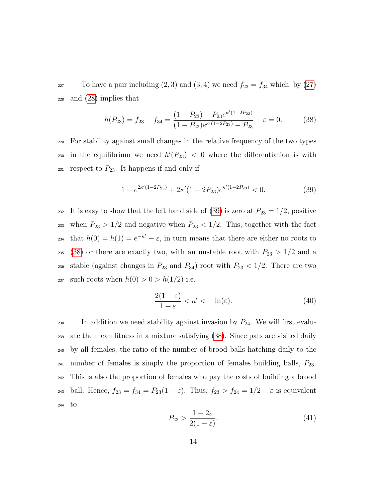<sup>227</sup> To have a pair including  $(2, 3)$  and  $(3, 4)$  we need  $f_{23} = f_{34}$  which, by  $(27)$ <sup>228</sup> and [\(28\)](#page-12-0) implies that

<span id="page-14-1"></span>
$$
h(P_{23}) = f_{23} - f_{34} = \frac{(1 - P_{23}) - P_{23}e^{\kappa'(1 - 2P_{23})}}{(1 - P_{23})e^{\kappa'(1 - 2P_{23})} - P_{23}} - \varepsilon = 0.
$$
 (38)

<sup>229</sup> For stability against small changes in the relative frequency of the two types 230 in the equilibrium we need  $h'(P_{23}) < 0$  where the differentiation is with  $_{231}$  respect to  $P_{23}$ . It happens if and only if

<span id="page-14-0"></span>
$$
1 - e^{2\kappa'(1 - 2P_{23})} + 2\kappa'(1 - 2P_{23})e^{\kappa'(1 - 2P_{23})} < 0. \tag{39}
$$

232 It is easy to show that the left hand side of [\(39\)](#page-14-0) is zero at  $P_{23} = 1/2$ , positive <sup>233</sup> when  $P_{23} > 1/2$  and negative when  $P_{23} < 1/2$ . This, together with the fact <sup>234</sup> that  $h(0) = h(1) = e^{-\kappa'} - \varepsilon$ , in turn means that there are either no roots to <sup>235</sup> [\(38\)](#page-14-1) or there are exactly two, with an unstable root with  $P_{23} > 1/2$  and a 236 stable (against changes in  $P_{23}$  and  $P_{34}$ ) root with  $P_{23}$  < 1/2. There are two 237 such roots when  $h(0) > 0 > h(1/2)$  i.e.

<span id="page-14-3"></span>
$$
\frac{2(1-\varepsilon)}{1+\varepsilon} < \kappa' < -\ln(\varepsilon). \tag{40}
$$

<span id="page-14-2"></span> $_{238}$  In addition we need stability against invasion by  $P_{24}$ . We will first evalu-<sup>239</sup> ate the mean fitness in a mixture satisfying [\(38\)](#page-14-1). Since pats are visited daily <sup>240</sup> by all females, the ratio of the number of brood balls hatching daily to the  $_{241}$  number of females is simply the proportion of females building balls,  $P_{23}$ . <sup>242</sup> This is also the proportion of females who pay the costs of building a brood 243 ball. Hence,  $f_{23} = f_{34} = P_{23}(1 - \varepsilon)$ . Thus,  $f_{23} > f_{24} = 1/2 - \varepsilon$  is equivalent <sup>244</sup> to

$$
P_{23} > \frac{1 - 2\varepsilon}{2(1 - \varepsilon)}.\tag{41}
$$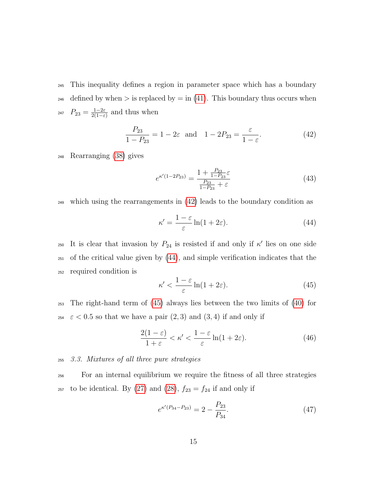<sup>245</sup> This inequality defines a region in parameter space which has a boundary 246 defined by when  $>$  is replaced by  $=$  in [\(41\)](#page-14-2). This boundary thus occurs when  $P_{23} = \frac{1-2\varepsilon}{2(1-\varepsilon)}$ <sup>247</sup>  $P_{23} = \frac{1-2\varepsilon}{2(1-\varepsilon)}$  and thus when

<span id="page-15-0"></span>
$$
\frac{P_{23}}{1 - P_{23}} = 1 - 2\varepsilon \text{ and } 1 - 2P_{23} = \frac{\varepsilon}{1 - \varepsilon}.
$$
 (42)

<sup>248</sup> Rearranging [\(38\)](#page-14-1) gives

$$
e^{\kappa'(1-2P_{23})} = \frac{1 + \frac{P_{23}}{1-P_{23}}\varepsilon}{\frac{P_{23}}{1-P_{23}} + \varepsilon}
$$
(43)

<sup>249</sup> which using the rearrangements in [\(42\)](#page-15-0) leads to the boundary condition as

<span id="page-15-1"></span>
$$
\kappa' = \frac{1 - \varepsilon}{\varepsilon} \ln(1 + 2\varepsilon). \tag{44}
$$

250 It is clear that invasion by  $P_{24}$  is resisted if and only if  $\kappa'$  lies on one side <sup>251</sup> of the critical value given by [\(44\)](#page-15-1), and simple verification indicates that the <sup>252</sup> required condition is

<span id="page-15-2"></span>
$$
\kappa' < \frac{1-\varepsilon}{\varepsilon} \ln(1+2\varepsilon). \tag{45}
$$

<sup>253</sup> The right-hand term of [\(45\)](#page-15-2) always lies between the two limits of [\(40\)](#page-14-3) for <sup>254</sup>  $\varepsilon$  < 0.5 so that we have a pair (2, 3) and (3, 4) if and only if

$$
\frac{2(1-\varepsilon)}{1+\varepsilon} < \kappa' < \frac{1-\varepsilon}{\varepsilon} \ln(1+2\varepsilon). \tag{46}
$$

#### <sup>255</sup> 3.3. Mixtures of all three pure strategies

<sup>256</sup> For an internal equilibrium we require the fitness of all three strategies <sup>257</sup> to be identical. By [\(27\)](#page-12-0) and [\(28\)](#page-12-0),  $f_{23} = f_{24}$  if and only if

<span id="page-15-3"></span>
$$
e^{\kappa'(P_{34}-P_{23})} = 2 - \frac{P_{23}}{P_{34}}.\tag{47}
$$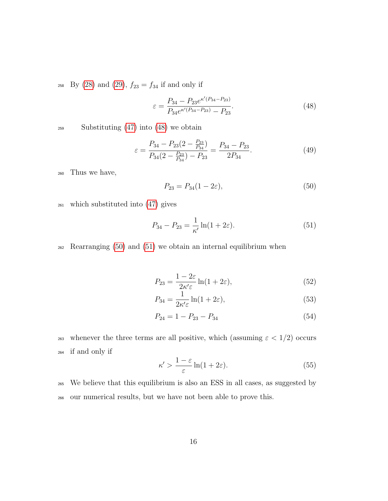258 By [\(28\)](#page-12-0) and [\(29\)](#page-12-0),  $f_{23} = f_{34}$  if and only if

<span id="page-16-0"></span>
$$
\varepsilon = \frac{P_{34} - P_{23}e^{\kappa'(P_{34} - P_{23})}}{P_{34}e^{\kappa'(P_{34} - P_{23})} - P_{23}}.\tag{48}
$$

<sup>259</sup> Substituting [\(47\)](#page-15-3) into [\(48\)](#page-16-0) we obtain

<span id="page-16-1"></span>
$$
\varepsilon = \frac{P_{34} - P_{23}(2 - \frac{P_{23}}{P_{34}})}{P_{34}(2 - \frac{P_{23}}{P_{34}}) - P_{23}} = \frac{P_{34} - P_{23}}{2P_{34}}.\tag{49}
$$

<sup>260</sup> Thus we have,

<span id="page-16-2"></span>
$$
P_{23} = P_{34}(1 - 2\varepsilon),\tag{50}
$$

<sup>261</sup> which substituted into [\(47\)](#page-15-3) gives

$$
P_{34} - P_{23} = \frac{1}{\kappa'} \ln(1 + 2\varepsilon).
$$
 (51)

<sup>262</sup> Rearranging [\(50\)](#page-16-1) and [\(51\)](#page-16-2) we obtain an internal equilibrium when

$$
P_{23} = \frac{1 - 2\varepsilon}{2\kappa'\varepsilon} \ln(1 + 2\varepsilon),\tag{52}
$$

$$
P_{34} = \frac{1}{2\kappa'\varepsilon} \ln(1 + 2\varepsilon),\tag{53}
$$

$$
P_{24} = 1 - P_{23} - P_{34} \tag{54}
$$

263 whenever the three terms are all positive, which (assuming  $\varepsilon < 1/2$ ) occurs <sup>264</sup> if and only if

$$
\kappa' > \frac{1-\varepsilon}{\varepsilon} \ln(1+2\varepsilon). \tag{55}
$$

<sup>265</sup> We believe that this equilibrium is also an ESS in all cases, as suggested by <sup>266</sup> our numerical results, but we have not been able to prove this.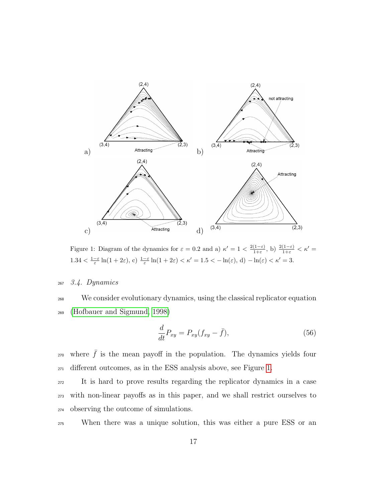

<span id="page-17-0"></span>Figure 1: Diagram of the dynamics for  $\varepsilon = 0.2$  and a)  $\kappa' = 1 < \frac{2(1-\varepsilon)}{1+\varepsilon}$  $\frac{(1-\varepsilon)}{1+\varepsilon}$ , b)  $\frac{2(1-\varepsilon)}{1+\varepsilon} < \kappa' =$  $1.34 < \frac{1-\varepsilon}{\varepsilon} \ln(1+2\varepsilon)$ , c)  $\frac{1-\varepsilon}{\varepsilon} \ln(1+2\varepsilon) < \kappa' = 1.5 < -\ln(\varepsilon)$ , d)  $-\ln(\varepsilon) < \kappa' = 3$ .

#### <sup>267</sup> 3.4. Dynamics

<sup>268</sup> We consider evolutionary dynamics, using the classical replicator equation <sup>269</sup> [\(Hofbauer and Sigmund, 1998\)](#page-25-6)

$$
\frac{d}{dt}P_{xy} = P_{xy}(f_{xy} - \bar{f}),\tag{56}
$$

<sup>270</sup> where  $\bar{f}$  is the mean payoff in the population. The dynamics yields four <sup>271</sup> different outcomes, as in the ESS analysis above, see Figure [1.](#page-17-0)

<sup>272</sup> It is hard to prove results regarding the replicator dynamics in a case <sup>273</sup> with non-linear payoffs as in this paper, and we shall restrict ourselves to <sup>274</sup> observing the outcome of simulations.

<sup>275</sup> When there was a unique solution, this was either a pure ESS or an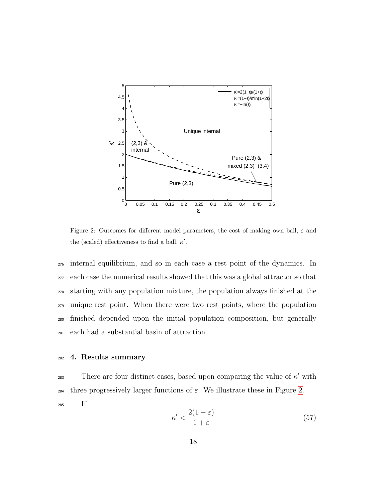

<span id="page-18-0"></span>Figure 2: Outcomes for different model parameters, the cost of making own ball,  $\varepsilon$  and the (scaled) effectiveness to find a ball,  $\kappa'$ .

 internal equilibrium, and so in each case a rest point of the dynamics. In each case the numerical results showed that this was a global attractor so that starting with any population mixture, the population always finished at the unique rest point. When there were two rest points, where the population finished depended upon the initial population composition, but generally each had a substantial basin of attraction.

#### <sup>282</sup> 4. Results summary

There are four distinct cases, based upon comparing the value of  $\kappa'$  with 284 three progressively larger functions of  $\varepsilon$ . We illustrate these in Figure [2.](#page-18-0)

<sup>285</sup> If

$$
\kappa' < \frac{2(1-\varepsilon)}{1+\varepsilon} \tag{57}
$$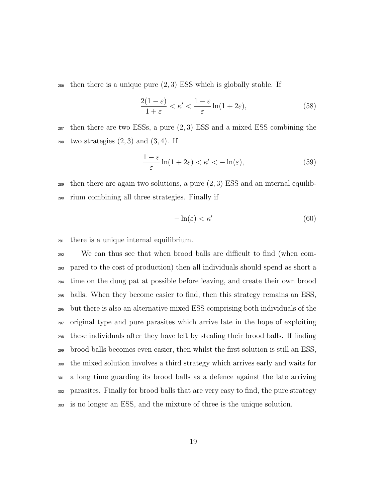then there is a unique pure  $(2, 3)$  ESS which is globally stable. If

$$
\frac{2(1-\varepsilon)}{1+\varepsilon} < \kappa' < \frac{1-\varepsilon}{\varepsilon} \ln(1+2\varepsilon),\tag{58}
$$

 then there are two ESSs, a pure  $(2,3)$  ESS and a mixed ESS combining the <sup>288</sup> two strategies  $(2,3)$  and  $(3,4)$ . If

$$
\frac{1-\varepsilon}{\varepsilon}\ln(1+2\varepsilon) < \kappa' < -\ln(\varepsilon),\tag{59}
$$

289 then there are again two solutions, a pure  $(2,3)$  ESS and an internal equilib-rium combining all three strategies. Finally if

$$
-\ln(\varepsilon) < \kappa' \tag{60}
$$

there is a unique internal equilibrium.

 We can thus see that when brood balls are difficult to find (when com- pared to the cost of production) then all individuals should spend as short a time on the dung pat at possible before leaving, and create their own brood balls. When they become easier to find, then this strategy remains an ESS, but there is also an alternative mixed ESS comprising both individuals of the original type and pure parasites which arrive late in the hope of exploiting these individuals after they have left by stealing their brood balls. If finding brood balls becomes even easier, then whilst the first solution is still an ESS, the mixed solution involves a third strategy which arrives early and waits for a long time guarding its brood balls as a defence against the late arriving parasites. Finally for brood balls that are very easy to find, the pure strategy is no longer an ESS, and the mixture of three is the unique solution.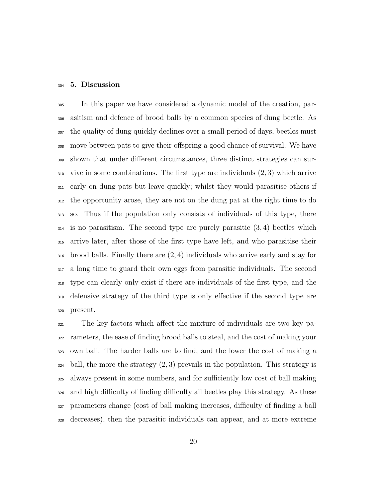#### 5. Discussion

 In this paper we have considered a dynamic model of the creation, par- asitism and defence of brood balls by a common species of dung beetle. As the quality of dung quickly declines over a small period of days, beetles must move between pats to give their offspring a good chance of survival. We have shown that under different circumstances, three distinct strategies can sur- vive in some combinations. The first type are individuals (2, 3) which arrive early on dung pats but leave quickly; whilst they would parasitise others if the opportunity arose, they are not on the dung pat at the right time to do so. Thus if the population only consists of individuals of this type, there is no parasitism. The second type are purely parasitic  $(3, 4)$  beetles which arrive later, after those of the first type have left, and who parasitise their brood balls. Finally there are (2, 4) individuals who arrive early and stay for a long time to guard their own eggs from parasitic individuals. The second type can clearly only exist if there are individuals of the first type, and the defensive strategy of the third type is only effective if the second type are present.

 The key factors which affect the mixture of individuals are two key pa- rameters, the ease of finding brood balls to steal, and the cost of making your own ball. The harder balls are to find, and the lower the cost of making a  $_{324}$  ball, the more the strategy  $(2, 3)$  prevails in the population. This strategy is always present in some numbers, and for sufficiently low cost of ball making and high difficulty of finding difficulty all beetles play this strategy. As these parameters change (cost of ball making increases, difficulty of finding a ball decreases), then the parasitic individuals can appear, and at more extreme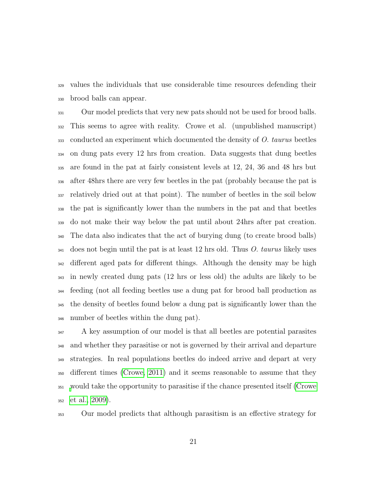values the individuals that use considerable time resources defending their brood balls can appear.

 Our model predicts that very new pats should not be used for brood balls. This seems to agree with reality. Crowe et al. (unpublished manuscript) conducted an experiment which documented the density of O. taurus beetles on dung pats every 12 hrs from creation. Data suggests that dung beetles are found in the pat at fairly consistent levels at 12, 24, 36 and 48 hrs but after 48hrs there are very few beetles in the pat (probably because the pat is relatively dried out at that point). The number of beetles in the soil below the pat is significantly lower than the numbers in the pat and that beetles do not make their way below the pat until about 24hrs after pat creation. The data also indicates that the act of burying dung (to create brood balls) does not begin until the pat is at least 12 hrs old. Thus O. taurus likely uses different aged pats for different things. Although the density may be high in newly created dung pats (12 hrs or less old) the adults are likely to be feeding (not all feeding beetles use a dung pat for brood ball production as the density of beetles found below a dung pat is significantly lower than the number of beetles within the dung pat).

 A key assumption of our model is that all beetles are potential parasites and whether they parasitise or not is governed by their arrival and departure strategies. In real populations beetles do indeed arrive and depart at very different times [\(Crowe, 2011\)](#page-24-8) and it seems reasonable to assume that they [w](#page-24-4)ould take the opportunity to parasitise if the chance presented itself [\(Crowe](#page-24-4) [et al., 2009\)](#page-24-4).

Our model predicts that although parasitism is an effective strategy for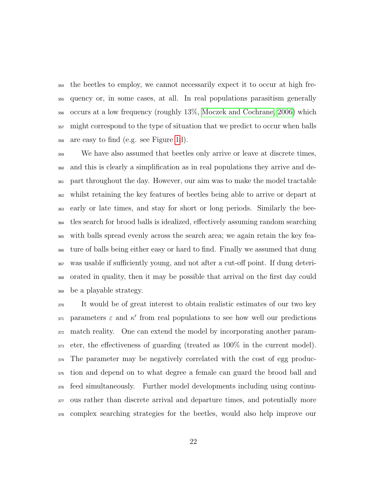the beetles to employ, we cannot necessarily expect it to occur at high fre- quency or, in some cases, at all. In real populations parasitism generally occurs at a low frequency (roughly 13%, [Moczek and Cochrane, 2006\)](#page-26-4) which 357 might correspond to the type of situation that we predict to occur when balls are easy to find (e.g. see Figure [1d](#page-17-0)).

 We have also assumed that beetles only arrive or leave at discrete times, and this is clearly a simplification as in real populations they arrive and de- part throughout the day. However, our aim was to make the model tractable whilst retaining the key features of beetles being able to arrive or depart at early or late times, and stay for short or long periods. Similarly the bee- tles search for brood balls is idealized, effectively assuming random searching with balls spread evenly across the search area; we again retain the key fea- ture of balls being either easy or hard to find. Finally we assumed that dung was usable if sufficiently young, and not after a cut-off point. If dung deteri- orated in quality, then it may be possible that arrival on the first day could be a playable strategy.

 It would be of great interest to obtain realistic estimates of our two key 371 parameters  $\varepsilon$  and  $\kappa'$  from real populations to see how well our predictions match reality. One can extend the model by incorporating another param- eter, the effectiveness of guarding (treated as 100% in the current model). The parameter may be negatively correlated with the cost of egg produc- tion and depend on to what degree a female can guard the brood ball and feed simultaneously. Further model developments including using continu- ous rather than discrete arrival and departure times, and potentially more complex searching strategies for the beetles, would also help improve our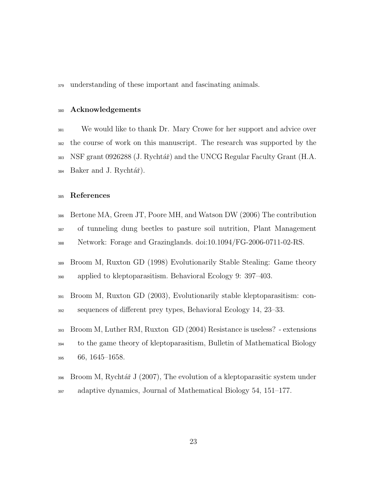understanding of these important and fascinating animals.

#### Acknowledgements

 We would like to thank Dr. Mary Crowe for her support and advice over the course of work on this manuscript. The research was supported by the NSF grant 0926288 (J. Rychtář) and the UNCG Regular Faculty Grant (H.A. Baker and J. Rychtář).

#### References

- <span id="page-23-4"></span> Bertone MA, Green JT, Poore MH, and Watson DW (2006) The contribution of tunneling dung beetles to pasture soil nutrition, Plant Management Network: Forage and Grazinglands. doi:10.1094/FG-2006-0711-02-RS.
- <span id="page-23-0"></span> Broom M, Ruxton GD (1998) Evolutionarily Stable Stealing: Game theory applied to kleptoparasitism. Behavioral Ecology 9: 397–403.
- <span id="page-23-1"></span> Broom M, Ruxton GD (2003), Evolutionarily stable kleptoparasitism: con-sequences of different prey types, Behavioral Ecology 14, 23–33.
- <span id="page-23-2"></span> Broom M, Luther RM, Ruxton GD (2004) Resistance is useless? - extensions to the game theory of kleptoparasitism, Bulletin of Mathematical Biology 66, 1645–1658.
- <span id="page-23-3"></span> Broom M, Rychtář J (2007), The evolution of a kleptoparasitic system under adaptive dynamics, Journal of Mathematical Biology 54, 151–177.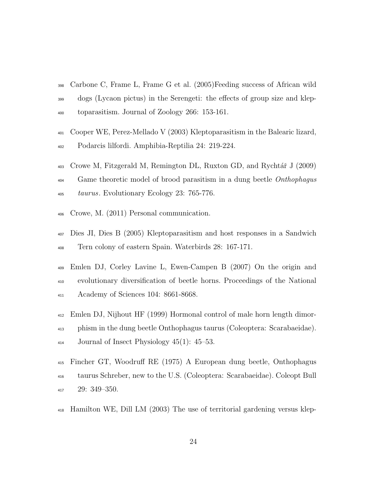- <span id="page-24-0"></span> Carbone C, Frame L, Frame G et al. (2005)Feeding success of African wild dogs (Lycaon pictus) in the Serengeti: the effects of group size and klep-toparasitism. Journal of Zoology 266: 153-161.
- <span id="page-24-3"></span> Cooper WE, Perez-Mellado V (2003) Kleptoparasitism in the Balearic lizard, Podarcis lilfordi. Amphibia-Reptilia 24: 219-224.
- <span id="page-24-4"></span> $\frac{403}{\pi}$  Crowe M, Fitzgerald M, Remington DL, Ruxton GD, and Rychtář J (2009) <sup>404</sup> Game theoretic model of brood parasitism in a dung beetle *Onthophagus* taurus. Evolutionary Ecology 23: 765-776.
- <span id="page-24-8"></span>Crowe, M. (2011) Personal communication.
- <span id="page-24-1"></span> Dies JI, Dies B (2005) Kleptoparasitism and host responses in a Sandwich Tern colony of eastern Spain. Waterbirds 28: 167-171.
- <span id="page-24-7"></span> Emlen DJ, Corley Lavine L, Ewen-Campen B (2007) On the origin and evolutionary diversification of beetle horns. Proceedings of the National Academy of Sciences 104: 8661-8668.
- <span id="page-24-6"></span> Emlen DJ, Nijhout HF (1999) Hormonal control of male horn length dimor- phism in the dung beetle Onthophagus taurus (Coleoptera: Scarabaeidae).  $_{414}$  Journal of Insect Physiology 45(1): 45–53.
- <span id="page-24-5"></span> Fincher GT, Woodruff RE (1975) A European dung beetle, Onthophagus taurus Schreber, new to the U.S. (Coleoptera: Scarabaeidae). Coleopt Bull 29: 349–350.
- <span id="page-24-2"></span>Hamilton WE, Dill LM (2003) The use of territorial gardening versus klep-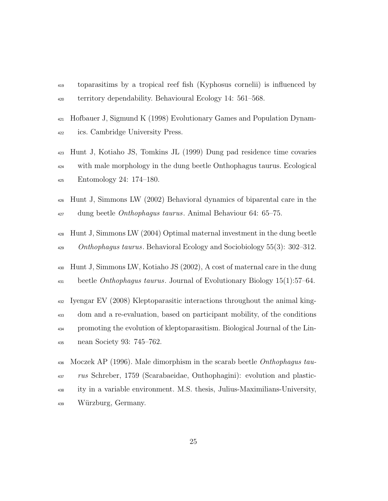- toparasitims by a tropical reef fish (Kyphosus cornelii) is influenced by territory dependability. Behavioural Ecology 14: 561–568.
- <span id="page-25-6"></span> Hofbauer J, Sigmund K (1998) Evolutionary Games and Population Dynam-ics. Cambridge University Press.
- <span id="page-25-1"></span> Hunt J, Kotiaho JS, Tomkins JL (1999) Dung pad residence time covaries with male morphology in the dung beetle Onthophagus taurus. Ecological Entomology 24: 174–180.
- <span id="page-25-3"></span> Hunt J, Simmons LW (2002) Behavioral dynamics of biparental care in the  $_{427}$  dung beetle *Onthophagus taurus*. Animal Behaviour 64: 65–75.
- <span id="page-25-5"></span> Hunt J, Simmons LW (2004) Optimal maternal investment in the dung beetle Onthophagus taurus. Behavioral Ecology and Sociobiology 55(3): 302–312.
- <span id="page-25-4"></span> Hunt J, Simmons LW, Kotiaho JS (2002), A cost of maternal care in the dung  $\mu_{31}$  beetle *Onthophagus taurus*. Journal of Evolutionary Biology 15(1):57–64.
- <span id="page-25-0"></span> Iyengar EV (2008) Kleptoparasitic interactions throughout the animal king- dom and a re-evaluation, based on participant mobility, of the conditions promoting the evolution of kleptoparasitism. Biological Journal of the Lin-nean Society 93: 745–762.
- <span id="page-25-2"></span>436 Moczek AP (1996). Male dimorphism in the scarab beetle Onthophagus tau- rus Schreber, 1759 (Scarabaeidae, Onthophagini): evolution and plastic- ity in a variable environment. M.S. thesis, Julius-Maximilians-University, W¨urzburg, Germany.